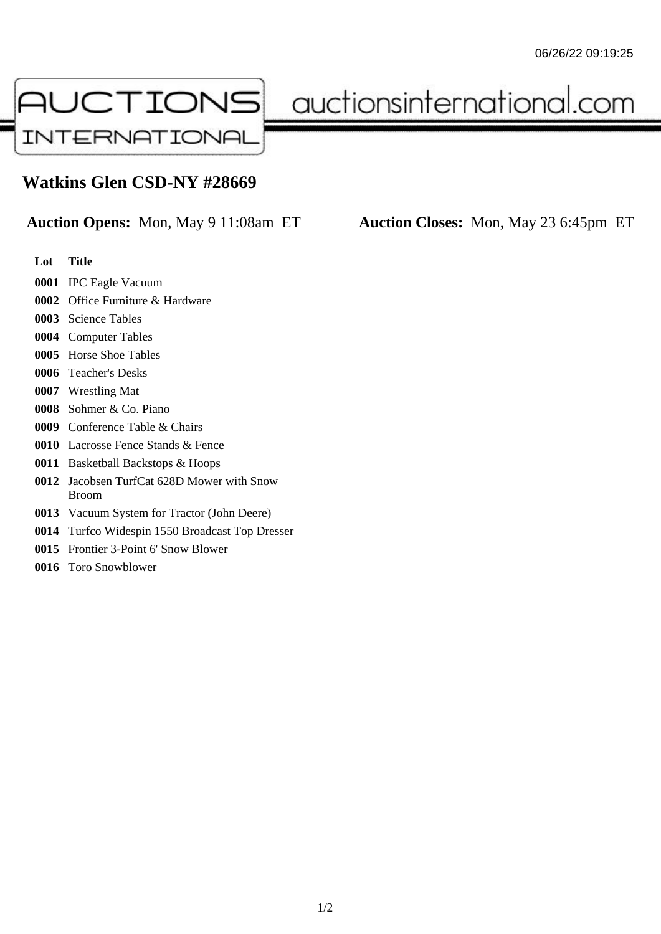

auctionsinternational.com

## **Watkins Glen CSD-NY #28669**

**Auction Opens:** Mon, May 9 11:08am ET **Auction Closes:** Mon, May 23 6:45pm ET

- **Lot Title**
- IPC Eagle Vacuum
- Office Furniture & Hardware
- Science Tables
- Computer Tables
- Horse Shoe Tables
- Teacher's Desks
- Wrestling Mat
- Sohmer & Co. Piano
- Conference Table & Chairs
- Lacrosse Fence Stands & Fence
- Basketball Backstops & Hoops
- Jacobsen TurfCat 628D Mower with Snow Broom
- Vacuum System for Tractor (John Deere)
- Turfco Widespin 1550 Broadcast Top Dresser
- Frontier 3-Point 6' Snow Blower
- Toro Snowblower